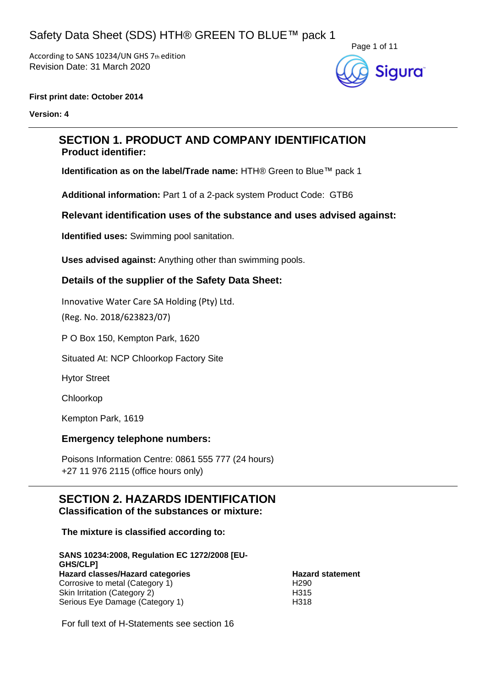According to SANS 10234/UN GHS 7th edition Revision Date: 31 March 2020



#### **First print date: October 2014**

**Version: 4**

### **SECTION 1. PRODUCT AND COMPANY IDENTIFICATION Product identifier:**

**Identification as on the label/Trade name:** HTH® Green to Blue™ pack 1

**Additional information:** Part 1 of a 2-pack system Product Code: GTB6

### **Relevant identification uses of the substance and uses advised against:**

**Identified uses:** Swimming pool sanitation.

**Uses advised against:** Anything other than swimming pools.

### **Details of the supplier of the Safety Data Sheet:**

Innovative Water Care SA Holding (Pty) Ltd.

(Reg. No. 2018/623823/07)

P O Box 150, Kempton Park, 1620

Situated At: NCP Chloorkop Factory Site

Hytor Street

Chloorkop

Kempton Park, 1619

### **Emergency telephone numbers:**

Poisons Information Centre: 0861 555 777 (24 hours) +27 11 976 2115 (office hours only)

# **SECTION 2. HAZARDS IDENTIFICATION**

**Classification of the substances or mixture:**

**The mixture is classified according to:**

#### **SANS 10234:2008, Regulation EC 1272/2008 [EU-GHS/CLP] Hazard classes/Hazard categories Hazard statement** Corrosive to metal (Category 1) H290 Skin Irritation (Category 2) H315 Serious Eye Damage (Category 1) H318

For full text of H-Statements see section 16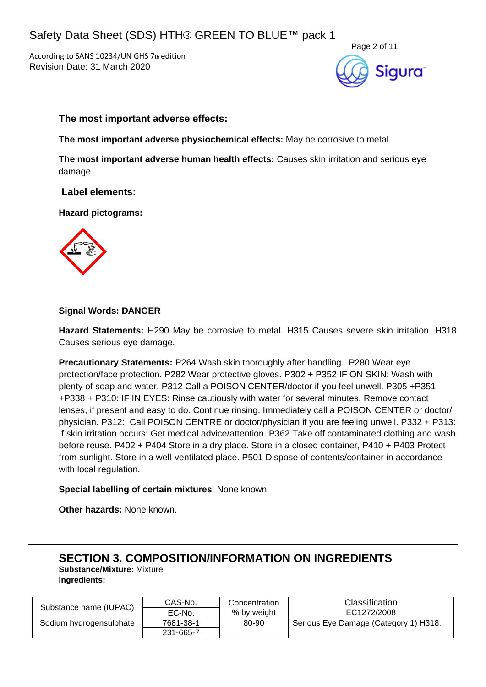According to SANS 10234/UN GHS 7th edition Revision Date: 31 March 2020



### **The most important adverse effects:**

**The most important adverse physiochemical effects:** May be corrosive to metal.

**The most important adverse human health effects:** Causes skin irritation and serious eye damage.

**Label elements:**

**Hazard pictograms:**



### **Signal Words: DANGER**

**Hazard Statements:** H290 May be corrosive to metal. H315 Causes severe skin irritation. H318 Causes serious eye damage.

**Precautionary Statements:** P264 Wash skin thoroughly after handling. P280 Wear eye protection/face protection. P282 Wear protective gloves. P302 + P352 IF ON SKIN: Wash with plenty of soap and water. P312 Call a POISON CENTER/doctor if you feel unwell. P305 +P351 +P338 + P310: IF IN EYES: Rinse cautiously with water for several minutes. Remove contact lenses, if present and easy to do. Continue rinsing. Immediately call a POISON CENTER or doctor/ physician. P312: Call POISON CENTRE or doctor/physician if you are feeling unwell. P332 + P313: If skin irritation occurs: Get medical advice/attention. P362 Take off contaminated clothing and wash before reuse. P402 + P404 Store in a dry place. Store in a closed container, P410 + P403 Protect from sunlight. Store in a well-ventilated place. P501 Dispose of contents/container in accordance with local regulation.

### **Special labelling of certain mixtures**: None known.

**Other hazards:** None known.

### **SECTION 3. COMPOSITION/INFORMATION ON INGREDIENTS Substance/Mixture:** Mixture **Ingredients:**

|                         | CAS-No.   | Concentration | <b>Classification</b>                 |  |
|-------------------------|-----------|---------------|---------------------------------------|--|
| Substance name (IUPAC)  | EC-No.    | % by weight   | EC1272/2008                           |  |
| Sodium hydrogensulphate | 7681-38-1 | 80-90         | Serious Eye Damage (Category 1) H318. |  |
|                         | 231-665-7 |               |                                       |  |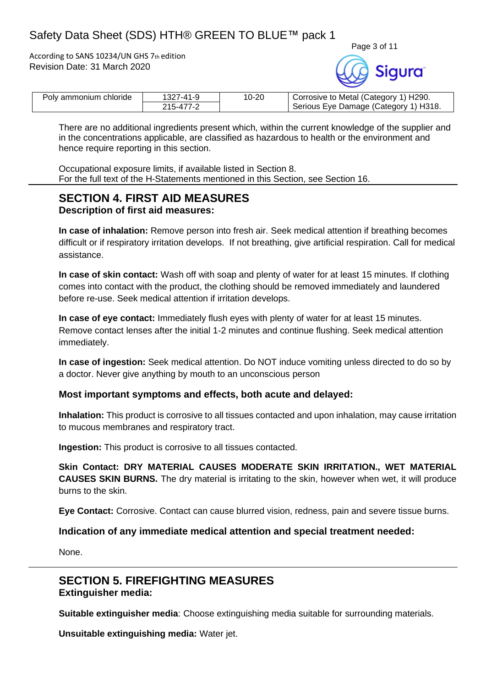According to SANS 10234/UN GHS 7th edition Revision Date: 31 March 2020



| Poly ammonium chloride | 1327-41-9 | $10 - 20$ | Corrosive to Metal (Category 1) H290. |  |
|------------------------|-----------|-----------|---------------------------------------|--|
|                        | 215-477-2 |           | Serious Eye Damage (Category 1) H318. |  |

There are no additional ingredients present which, within the current knowledge of the supplier and in the concentrations applicable, are classified as hazardous to health or the environment and hence require reporting in this section.

Occupational exposure limits, if available listed in Section 8. For the full text of the H-Statements mentioned in this Section, see Section 16.

### **SECTION 4. FIRST AID MEASURES Description of first aid measures:**

**In case of inhalation:** Remove person into fresh air. Seek medical attention if breathing becomes difficult or if respiratory irritation develops. If not breathing, give artificial respiration. Call for medical assistance.

**In case of skin contact:** Wash off with soap and plenty of water for at least 15 minutes. If clothing comes into contact with the product, the clothing should be removed immediately and laundered before re-use. Seek medical attention if irritation develops.

**In case of eye contact:** Immediately flush eyes with plenty of water for at least 15 minutes. Remove contact lenses after the initial 1-2 minutes and continue flushing. Seek medical attention immediately.

**In case of ingestion:** Seek medical attention. Do NOT induce vomiting unless directed to do so by a doctor. Never give anything by mouth to an unconscious person

### **Most important symptoms and effects, both acute and delayed:**

**Inhalation:** This product is corrosive to all tissues contacted and upon inhalation, may cause irritation to mucous membranes and respiratory tract.

**Ingestion:** This product is corrosive to all tissues contacted.

**Skin Contact: DRY MATERIAL CAUSES MODERATE SKIN IRRITATION., WET MATERIAL CAUSES SKIN BURNS.** The dry material is irritating to the skin, however when wet, it will produce burns to the skin.

**Eye Contact:** Corrosive. Contact can cause blurred vision, redness, pain and severe tissue burns.

### **Indication of any immediate medical attention and special treatment needed:**

None.

### **SECTION 5. FIREFIGHTING MEASURES Extinguisher media:**

**Suitable extinguisher media**: Choose extinguishing media suitable for surrounding materials.

**Unsuitable extinguishing media:** Water jet.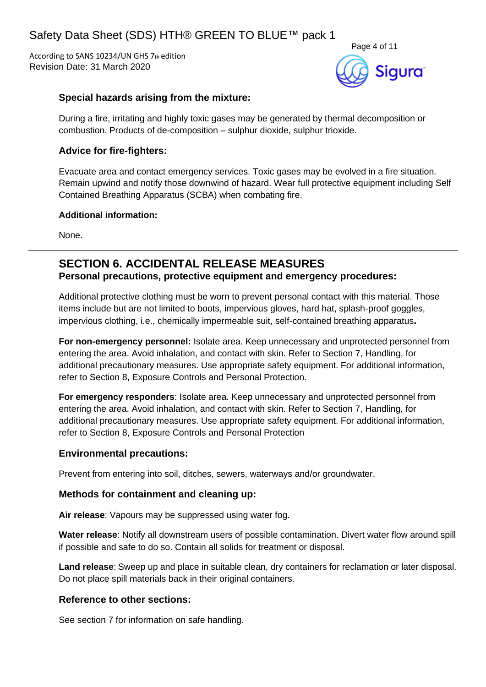According to SANS 10234/UN GHS 7th edition Revision Date: 31 March 2020



### **Special hazards arising from the mixture:**

During a fire, irritating and highly toxic gases may be generated by thermal decomposition or combustion. Products of de-composition – sulphur dioxide, sulphur trioxide.

### **Advice for fire-fighters:**

Evacuate area and contact emergency services. Toxic gases may be evolved in a fire situation. Remain upwind and notify those downwind of hazard. Wear full protective equipment including Self Contained Breathing Apparatus (SCBA) when combating fire.

### **Additional information:**

None.

### **SECTION 6. ACCIDENTAL RELEASE MEASURES Personal precautions, protective equipment and emergency procedures:**

Additional protective clothing must be worn to prevent personal contact with this material. Those items include but are not limited to boots, impervious gloves, hard hat, splash-proof goggles, impervious clothing, i.e., chemically impermeable suit, self-contained breathing apparatus**.**

**For non-emergency personnel:** Isolate area. Keep unnecessary and unprotected personnel from entering the area. Avoid inhalation, and contact with skin. Refer to Section 7, Handling, for additional precautionary measures. Use appropriate safety equipment. For additional information, refer to Section 8, Exposure Controls and Personal Protection.

**For emergency responders**: Isolate area. Keep unnecessary and unprotected personnel from entering the area. Avoid inhalation, and contact with skin. Refer to Section 7, Handling, for additional precautionary measures. Use appropriate safety equipment. For additional information, refer to Section 8, Exposure Controls and Personal Protection

### **Environmental precautions:**

Prevent from entering into soil, ditches, sewers, waterways and/or groundwater.

### **Methods for containment and cleaning up:**

**Air release**: Vapours may be suppressed using water fog.

**Water release**: Notify all downstream users of possible contamination. Divert water flow around spill if possible and safe to do so. Contain all solids for treatment or disposal.

**Land release**: Sweep up and place in suitable clean, dry containers for reclamation or later disposal. Do not place spill materials back in their original containers.

### **Reference to other sections:**

See section 7 for information on safe handling.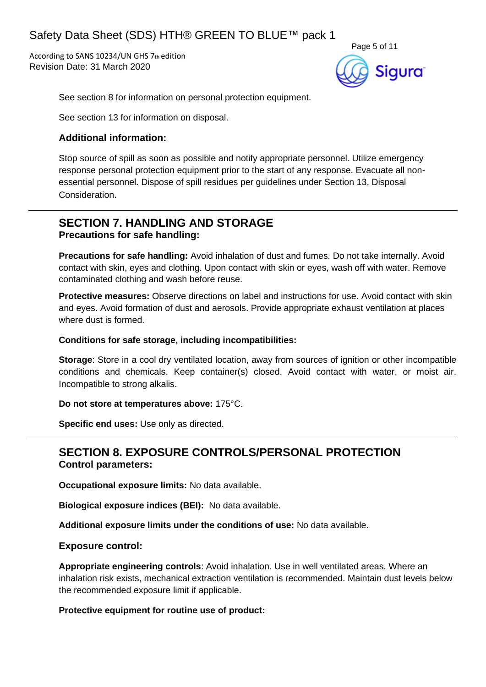According to SANS 10234/UN GHS 7th edition Revision Date: 31 March 2020



See section 8 for information on personal protection equipment.

See section 13 for information on disposal.

### **Additional information:**

Stop source of spill as soon as possible and notify appropriate personnel. Utilize emergency response personal protection equipment prior to the start of any response. Evacuate all nonessential personnel. Dispose of spill residues per guidelines under Section 13, Disposal Consideration.

### **SECTION 7. HANDLING AND STORAGE Precautions for safe handling:**

**Precautions for safe handling:** Avoid inhalation of dust and fumes. Do not take internally. Avoid contact with skin, eyes and clothing. Upon contact with skin or eyes, wash off with water. Remove contaminated clothing and wash before reuse.

**Protective measures:** Observe directions on label and instructions for use. Avoid contact with skin and eyes. Avoid formation of dust and aerosols. Provide appropriate exhaust ventilation at places where dust is formed.

### **Conditions for safe storage, including incompatibilities:**

**Storage**: Store in a cool dry ventilated location, away from sources of ignition or other incompatible conditions and chemicals. Keep container(s) closed. Avoid contact with water, or moist air. Incompatible to strong alkalis.

### **Do not store at temperatures above:** 175°C.

**Specific end uses:** Use only as directed.

### **SECTION 8. EXPOSURE CONTROLS/PERSONAL PROTECTION Control parameters:**

**Occupational exposure limits:** No data available.

**Biological exposure indices (BEI):** No data available.

**Additional exposure limits under the conditions of use:** No data available.

### **Exposure control:**

**Appropriate engineering controls**: Avoid inhalation. Use in well ventilated areas. Where an inhalation risk exists, mechanical extraction ventilation is recommended. Maintain dust levels below the recommended exposure limit if applicable.

### **Protective equipment for routine use of product:**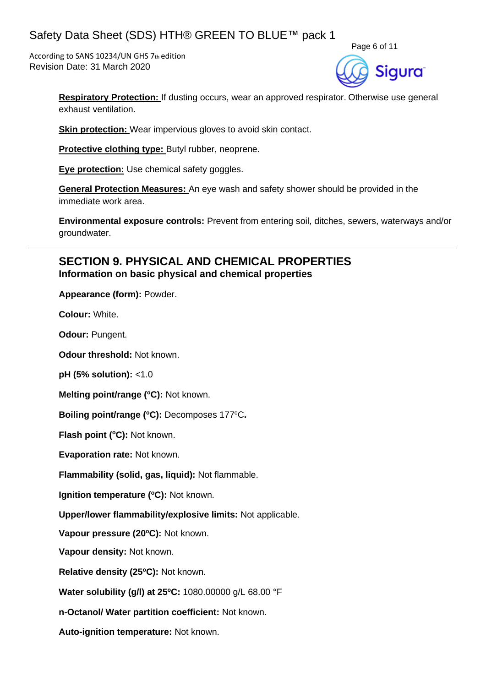According to SANS 10234/UN GHS 7th edition Revision Date: 31 March 2020



**Respiratory Protection:** If dusting occurs, wear an approved respirator. Otherwise use general exhaust ventilation.

**Skin protection:** Wear impervious gloves to avoid skin contact.

**Protective clothing type:** Butyl rubber, neoprene.

**Eye protection:** Use chemical safety goggles.

**General Protection Measures:** An eye wash and safety shower should be provided in the immediate work area.

**Environmental exposure controls:** Prevent from entering soil, ditches, sewers, waterways and/or groundwater.

### **SECTION 9. PHYSICAL AND CHEMICAL PROPERTIES Information on basic physical and chemical properties**

**Appearance (form):** Powder.

**Colour:** White.

**Odour:** Pungent.

**Odour threshold:** Not known.

**pH (5% solution):** <1.0

**Melting point/range (°C): Not known.** 

**Boiling point/range (<sup>o</sup>C):** Decomposes 177<sup>o</sup>C**.**

**Flash point (°C):** Not known.

**Evaporation rate:** Not known.

**Flammability (solid, gas, liquid):** Not flammable.

**Ignition temperature (°C):** Not known.

**Upper/lower flammability/explosive limits:** Not applicable.

**Vapour pressure (20<sup>o</sup>C):** Not known.

**Vapour density:** Not known.

**Relative density (25 <sup>o</sup>C):** Not known.

**Water solubility (g/l) at 25 <sup>o</sup>C:** 1080.00000 g/L 68.00 °F

**n-Octanol/ Water partition coefficient:** Not known.

**Auto-ignition temperature:** Not known.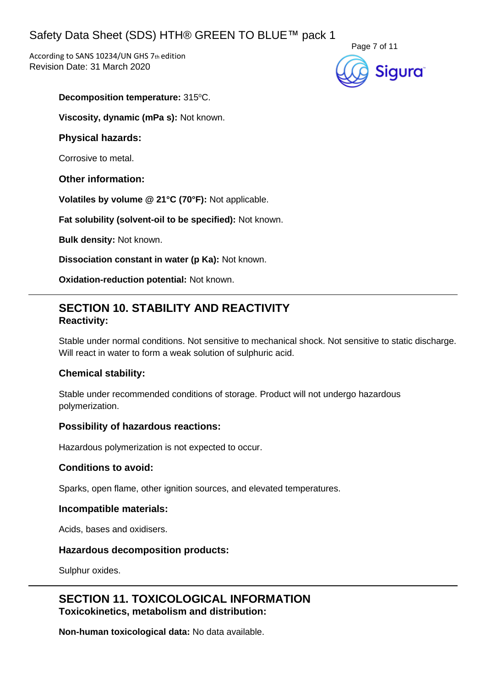According to SANS 10234/UN GHS 7th edition Revision Date: 31 March 2020



### **Decomposition temperature: 315°C.**

**Viscosity, dynamic (mPa s):** Not known.

### **Physical hazards:**

Corrosive to metal.

### **Other information:**

**Volatiles by volume @ 21°C (70°F):** Not applicable.

**Fat solubility (solvent-oil to be specified):** Not known.

**Bulk density:** Not known.

**Dissociation constant in water (p Ka):** Not known.

**Oxidation-reduction potential:** Not known.

### **SECTION 10. STABILITY AND REACTIVITY Reactivity:**

Stable under normal conditions. Not sensitive to mechanical shock. Not sensitive to static discharge. Will react in water to form a weak solution of sulphuric acid.

### **Chemical stability:**

Stable under recommended conditions of storage. Product will not undergo hazardous polymerization.

### **Possibility of hazardous reactions:**

Hazardous polymerization is not expected to occur.

### **Conditions to avoid:**

Sparks, open flame, other ignition sources, and elevated temperatures.

### **Incompatible materials:**

Acids, bases and oxidisers.

### **Hazardous decomposition products:**

Sulphur oxides.

**SECTION 11. TOXICOLOGICAL INFORMATION Toxicokinetics, metabolism and distribution:**

**Non-human toxicological data:** No data available.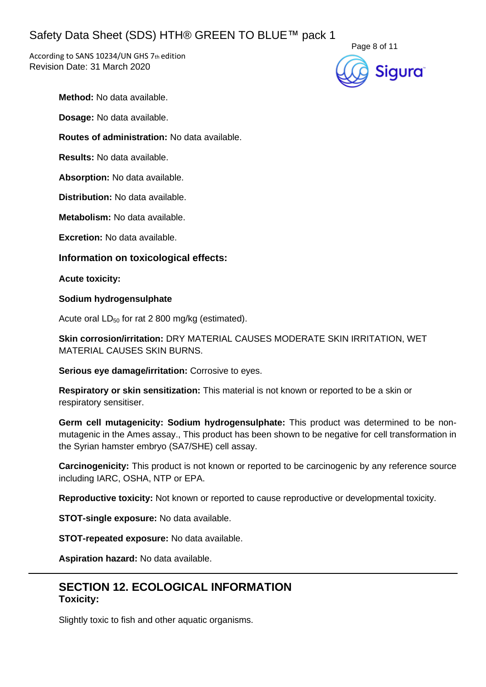According to SANS 10234/UN GHS 7th edition Revision Date: 31 March 2020



**Method:** No data available.

**Dosage:** No data available.

**Routes of administration:** No data available.

**Results:** No data available.

**Absorption:** No data available.

**Distribution:** No data available.

**Metabolism:** No data available.

**Excretion:** No data available.

**Information on toxicological effects:**

**Acute toxicity:**

**Sodium hydrogensulphate**

Acute oral  $LD_{50}$  for rat 2 800 mg/kg (estimated).

**Skin corrosion/irritation:** DRY MATERIAL CAUSES MODERATE SKIN IRRITATION, WET MATERIAL CAUSES SKIN BURNS.

**Serious eye damage/irritation:** Corrosive to eyes.

**Respiratory or skin sensitization:** This material is not known or reported to be a skin or respiratory sensitiser.

**Germ cell mutagenicity: Sodium hydrogensulphate:** This product was determined to be nonmutagenic in the Ames assay., This product has been shown to be negative for cell transformation in the Syrian hamster embryo (SA7/SHE) cell assay.

**Carcinogenicity:** This product is not known or reported to be carcinogenic by any reference source including IARC, OSHA, NTP or EPA.

**Reproductive toxicity:** Not known or reported to cause reproductive or developmental toxicity.

**STOT-single exposure:** No data available.

**STOT-repeated exposure:** No data available.

**Aspiration hazard:** No data available.

### **SECTION 12. ECOLOGICAL INFORMATION Toxicity:**

Slightly toxic to fish and other aquatic organisms.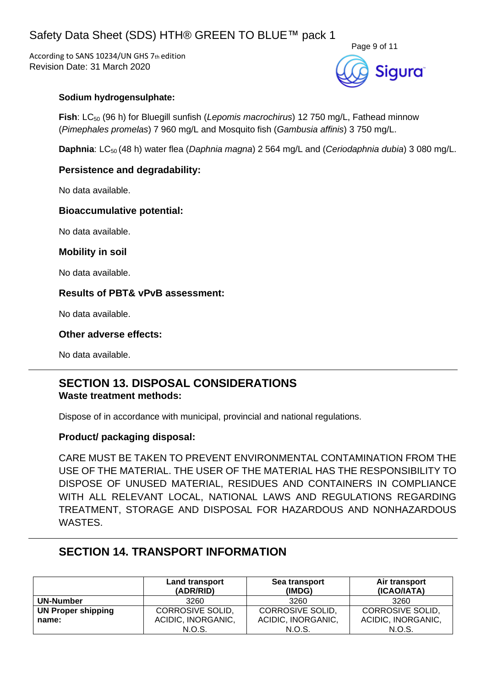According to SANS 10234/UN GHS 7th edition Revision Date: 31 March 2020



### **Sodium hydrogensulphate:**

**Fish**: LC<sub>50</sub> (96 h) for Bluegill sunfish (*Lepomis macrochirus*) 12 750 mg/L, Fathead minnow (*Pimephales promelas*) 7 960 mg/L and Mosquito fish (*Gambusia affinis*) 3 750 mg/L.

**Daphnia**: LC50 (48 h) water flea (*Daphnia magna*) 2 564 mg/L and (*Ceriodaphnia dubia*) 3 080 mg/L.

### **Persistence and degradability:**

No data available.

### **Bioaccumulative potential:**

No data available.

### **Mobility in soil**

No data available.

### **Results of PBT& vPvB assessment:**

No data available.

### **Other adverse effects:**

No data available.

### **SECTION 13. DISPOSAL CONSIDERATIONS Waste treatment methods:**

Dispose of in accordance with municipal, provincial and national regulations.

### **Product/ packaging disposal:**

CARE MUST BE TAKEN TO PREVENT ENVIRONMENTAL CONTAMINATION FROM THE USE OF THE MATERIAL. THE USER OF THE MATERIAL HAS THE RESPONSIBILITY TO DISPOSE OF UNUSED MATERIAL, RESIDUES AND CONTAINERS IN COMPLIANCE WITH ALL RELEVANT LOCAL, NATIONAL LAWS AND REGULATIONS REGARDING TREATMENT, STORAGE AND DISPOSAL FOR HAZARDOUS AND NONHAZARDOUS WASTES.

### **SECTION 14. TRANSPORT INFORMATION**

|                           | Land transport<br>(ADR/RID) | Sea transport<br>(IMDG) | Air transport<br>(ICAO/IATA) |
|---------------------------|-----------------------------|-------------------------|------------------------------|
| UN-Number                 | 3260                        | 3260                    | 3260                         |
| <b>UN Proper shipping</b> | <b>CORROSIVE SOLID.</b>     | <b>CORROSIVE SOLID.</b> | <b>CORROSIVE SOLID.</b>      |
| name:                     | ACIDIC, INORGANIC,          | ACIDIC, INORGANIC,      | ACIDIC, INORGANIC,           |
|                           | N.O.S.                      | N.O.S.                  | N.O.S.                       |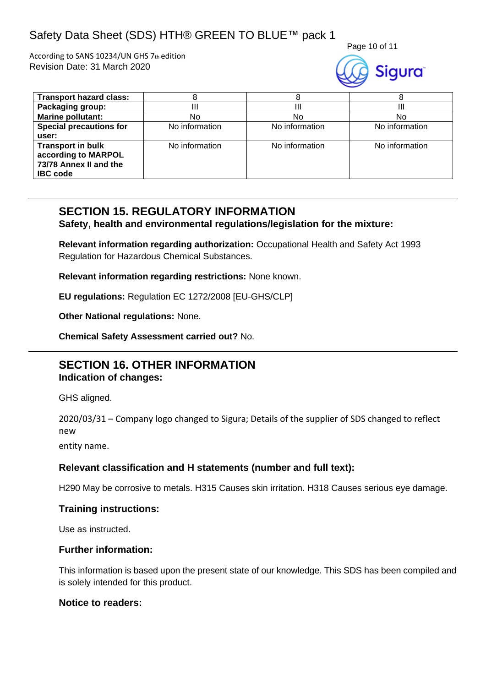According to SANS 10234/UN GHS 7th edition Revision Date: 31 March 2020





| <b>Transport hazard class:</b>                                                               |                |                |                |
|----------------------------------------------------------------------------------------------|----------------|----------------|----------------|
| Packaging group:                                                                             |                |                |                |
| <b>Marine pollutant:</b>                                                                     | No             | No             | No             |
| <b>Special precautions for</b>                                                               | No information | No information | No information |
| user:                                                                                        |                |                |                |
| <b>Transport in bulk</b><br>according to MARPOL<br>73/78 Annex II and the<br><b>IBC</b> code | No information | No information | No information |

## **SECTION 15. REGULATORY INFORMATION**

**Safety, health and environmental regulations/legislation for the mixture:**

**Relevant information regarding authorization:** Occupational Health and Safety Act 1993 Regulation for Hazardous Chemical Substances.

**Relevant information regarding restrictions:** None known.

**EU regulations:** Regulation EC 1272/2008 [EU-GHS/CLP]

**Other National regulations:** None.

**Chemical Safety Assessment carried out?** No.

### **SECTION 16. OTHER INFORMATION Indication of changes:**

GHS aligned.

2020/03/31 – Company logo changed to Sigura; Details of the supplier of SDS changed to reflect new

entity name.

### **Relevant classification and H statements (number and full text):**

H290 May be corrosive to metals. H315 Causes skin irritation. H318 Causes serious eye damage.

### **Training instructions:**

Use as instructed.

### **Further information:**

This information is based upon the present state of our knowledge. This SDS has been compiled and is solely intended for this product.

### **Notice to readers:**